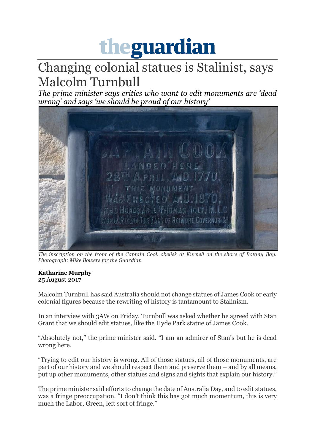## theguardian

## Changing colonial statues is Stalinist, says Malcolm Turnbull

*The prime minister says critics who want to edit monuments are 'dead wrong' and says 'we should be proud of our history'*



*The inscription on the front of the Captain Cook obelisk at Kurnell on the shore of Botany Bay. Photograph: Mike Bowers for the Guardian*

## **Katharine Murphy** 25 August 2017

Malcolm Turnbull has said Australia should not change statues of James Cook or early colonial figures because the rewriting of history is tantamount to Stalinism.

In an interview with 3AW on Friday, Turnbull was asked whether he agreed with Stan Grant that we should edit statues, like the Hyde Park statue of James Cook.

"Absolutely not," the prime minister said. "I am an admirer of Stan's but he is dead wrong here.

"Trying to edit our history is wrong. All of those statues, all of those monuments, are part of our history and we should respect them and preserve them – and by all means, put up other monuments, other statues and signs and sights that explain our history."

The prime minister said efforts to change the date of Australia Day, and to edit statues, was a fringe preoccupation. "I don't think this has got much momentum, this is very much the Labor, Green, left sort of fringe."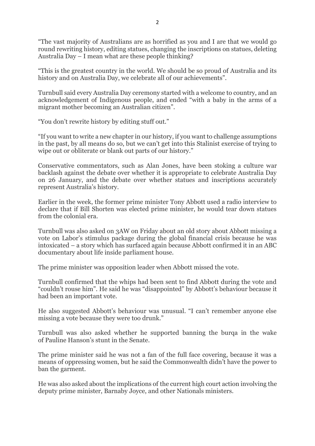"The vast majority of Australians are as horrified as you and I are that we would go round rewriting history, editing statues, changing the inscriptions on statues, deleting Australia Day – I mean what are these people thinking?

"This is the greatest country in the world. We should be so proud of Australia and its history and on Australia Day, we celebrate all of our achievements".

Turnbull said every Australia Day ceremony started with a welcome to country, and an acknowledgement of Indigenous people, and ended "with a baby in the arms of a migrant mother becoming an Australian citizen".

"You don't rewrite history by editing stuff out."

"If you want to write a new chapter in our history, if you want to challenge assumptions in the past, by all means do so, but we can't get into this Stalinist exercise of trying to wipe out or obliterate or blank out parts of our history."

Conservative commentators, such as Alan Jones, have been stoking a culture war backlash against the debate over whether it is appropriate to celebrate Australia Day on 26 January, and the debate over whether statues and inscriptions accurately represent Australia's history.

Earlier in the week, the former prime minister Tony Abbott used a radio interview to declare that if Bill Shorten was elected prime minister, he would tear down statues from the colonial era.

Turnbull was also asked on 3AW on Friday about an old story about Abbott missing a vote on Labor's stimulus package during the global financial crisis because he was intoxicated – a story which has surfaced again because Abbott confirmed it in an ABC documentary about life inside parliament house.

The prime minister was opposition leader when Abbott missed the vote.

Turnbull confirmed that the whips had been sent to find Abbott during the vote and "couldn't rouse him". He said he was "disappointed" by Abbott's behaviour because it had been an important vote.

He also suggested Abbott's behaviour was unusual. "I can't remember anyone else missing a vote because they were too drunk."

Turnbull was also asked whether he supported banning the burqa in the wake of Pauline Hanson's stunt in the Senate.

The prime minister said he was not a fan of the full face covering, because it was a means of oppressing women, but he said the Commonwealth didn't have the power to ban the garment.

He was also asked about the implications of the current high court action involving the deputy prime minister, Barnaby Joyce, and other Nationals ministers.